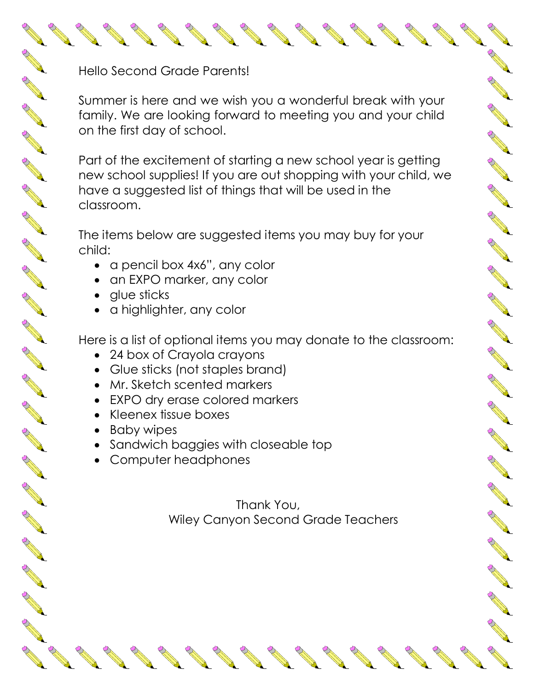Hello Second Grade Parents!

A RIVERSIDA

A Read

AND ROOM

A March

AND ROOM

A REA

AND ROAD

AND RD

RAVIEW R

A REA

A REA

A REA

A REA

A REA

A REA

A REA

A REA

A March 1

A REA

A REA

COMPARTMENT

A A R

Summer is here and we wish you a wonderful break with your family. We are looking forward to meeting you and your child on the first day of school.

AND TO BE

A March 19

AND TO

**RANCHORN RD.** 

B AND R

AND ROAD

RANT R

CONTROLL BY

Control of

Control R

A AND

A REA

A Maria

A March 19

AND TO BE A PARTICULAR OF

A March 19

**RANCISCO CONTROLLER** 

AND TO BE A STRONG TO A STRONG THE OWNER.

AND TO BE A PARTICULAR OF

Part of the excitement of starting a new school year is getting new school supplies! If you are out shopping with your child, we have a suggested list of things that will be used in the classroom.

The items below are suggested items you may buy for your child:

- a pencil box 4x6", any color
- an EXPO marker, any color
- glue sticks
- a highlighter, any color

Here is a list of optional items you may donate to the classroom:

- 24 box of Crayola crayons
- Glue sticks (not staples brand)
- Mr. Sketch scented markers
- EXPO dry erase colored markers
- Kleenex tissue boxes
- Baby wipes
- Sandwich baggies with closeable top
- Computer headphones

Thank You, Wiley Canyon Second Grade Teachers